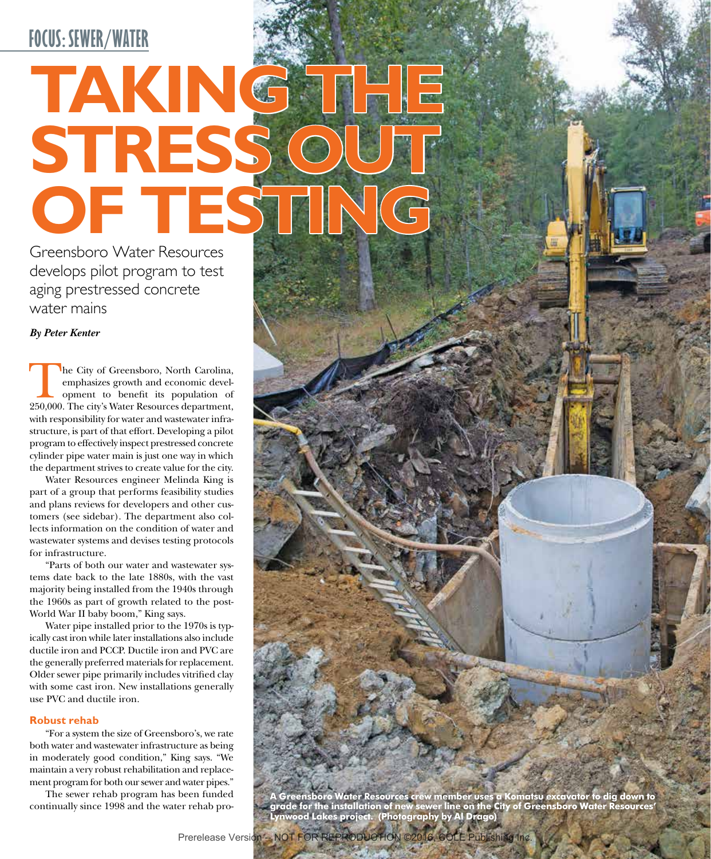# **TAKING THE STRESS OUT OF TESTING**

Greensboro Water Resources develops pilot program to test aging prestressed concrete water mains

# *By Peter Kenter*

The City of Greensboro, North Carolina,<br>
emphasizes growth and economic development to benefit its population of<br>
250,000. The city's Water Resources department, emphasizes growth and economic development to benefit its population of with responsibility for water and wastewater infrastructure, is part of that effort. Developing a pilot program to effectively inspect prestressed concrete cylinder pipe water main is just one way in which the department strives to create value for the city.

Water Resources engineer Melinda King is part of a group that performs feasibility studies and plans reviews for developers and other customers (see sidebar). The department also collects information on the condition of water and wastewater systems and devises testing protocols for infrastructure.

"Parts of both our water and wastewater systems date back to the late 1880s, with the vast majority being installed from the 1940s through the 1960s as part of growth related to the post-World War II baby boom," King says.

Water pipe installed prior to the 1970s is typically cast iron while later installations also include ductile iron and PCCP. Ductile iron and PVC are the generally preferred materials for replacement. Older sewer pipe primarily includes vitrified clay with some cast iron. New installations generally use PVC and ductile iron.

# **Robust rehab**

"For a system the size of Greensboro's, we rate both water and wastewater infrastructure as being in moderately good condition," King says. "We maintain a very robust rehabilitation and replacement program for both our sewer and water pipes."

The sewer rehab program has been funded continually since 1998 and the water rehab pro-

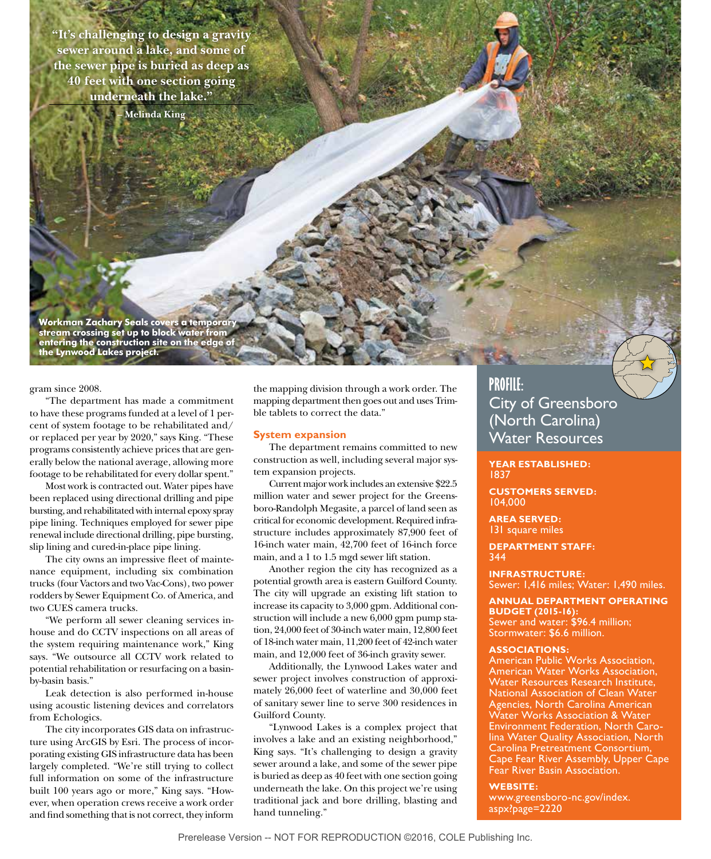**"It's challenging to design a gravity sewer around a lake, and some of the sewer pipe is buried as deep as 40 feet with one section going underneath the lake."**

**– Melinda King**

**Workman Zachary Seals covers a temporary stream crossing set up to block water from entering the construction site on the edge of the Lynwood Lakes project.**

gram since 2008.

"The department has made a commitment to have these programs funded at a level of 1 percent of system footage to be rehabilitated and/ or replaced per year by 2020," says King. "These programs consistently achieve prices that are generally below the national average, allowing more footage to be rehabilitated for every dollar spent."

Most work is contracted out. Water pipes have been replaced using directional drilling and pipe bursting, and rehabilitated with internal epoxy spray pipe lining. Techniques employed for sewer pipe renewal include directional drilling, pipe bursting, slip lining and cured-in-place pipe lining.

The city owns an impressive fleet of maintenance equipment, including six combination trucks (four Vactors and two Vac-Cons), two power rodders by Sewer Equipment Co. of America, and two CUES camera trucks.

"We perform all sewer cleaning services inhouse and do CCTV inspections on all areas of the system requiring maintenance work," King says. "We outsource all CCTV work related to potential rehabilitation or resurfacing on a basinby-basin basis."

Leak detection is also performed in-house using acoustic listening devices and correlators from Echologics.

The city incorporates GIS data on infrastructure using ArcGIS by Esri. The process of incorporating existing GIS infrastructure data has been largely completed. "We're still trying to collect full information on some of the infrastructure built 100 years ago or more," King says. "However, when operation crews receive a work order and find something that is not correct, they inform

the mapping division through a work order. The mapping department then goes out and uses Trimble tablets to correct the data."

#### **System expansion**

The department remains committed to new construction as well, including several major system expansion projects.

Current major work includes an extensive \$22.5 million water and sewer project for the Greensboro-Randolph Megasite, a parcel of land seen as critical for economic development. Required infrastructure includes approximately 87,900 feet of 16-inch water main, 42,700 feet of 16-inch force main, and a 1 to 1.5 mgd sewer lift station.

Another region the city has recognized as a potential growth area is eastern Guilford County. The city will upgrade an existing lift station to increase its capacity to 3,000 gpm. Additional construction will include a new 6,000 gpm pump station, 24,000 feet of 30-inch water main, 12,800 feet of 18-inch water main, 11,200 feet of 42-inch water main, and 12,000 feet of 36-inch gravity sewer.

Additionally, the Lynwood Lakes water and sewer project involves construction of approximately 26,000 feet of waterline and 30,000 feet of sanitary sewer line to serve 300 residences in Guilford County.

"Lynwood Lakes is a complex project that involves a lake and an existing neighborhood," King says. "It's challenging to design a gravity sewer around a lake, and some of the sewer pipe is buried as deep as 40 feet with one section going underneath the lake. On this project we're using traditional jack and bore drilling, blasting and hand tunneling."

# **PROFILE:** City of Greensboro (North Carolina) Water Resources

**YEAR ESTABLISHED:** 1837

**CUSTOMERS SERVED:** 104,000

**AREA SERVED:**  131 square miles

**DEPARTMENT STAFF:** 344

**INFRASTRUCTURE:**  Sewer: 1,416 miles; Water: 1,490 miles.

**ANNUAL DEPARTMENT OPERATING BUDGET (2015-16):** Sewer and water: \$96.4 million; Stormwater: \$6.6 million.

#### **ASSOCIATIONS:**

American Public Works Association, American Water Works Association, Water Resources Research Institute, National Association of Clean Water Agencies, North Carolina American Water Works Association & Water Environment Federation, North Carolina Water Quality Association, North Carolina Pretreatment Consortium, Cape Fear River Assembly, Upper Cape Fear River Basin Association.

#### **WEBSITE:**

www.greensboro-nc.gov/index. aspx?page=2220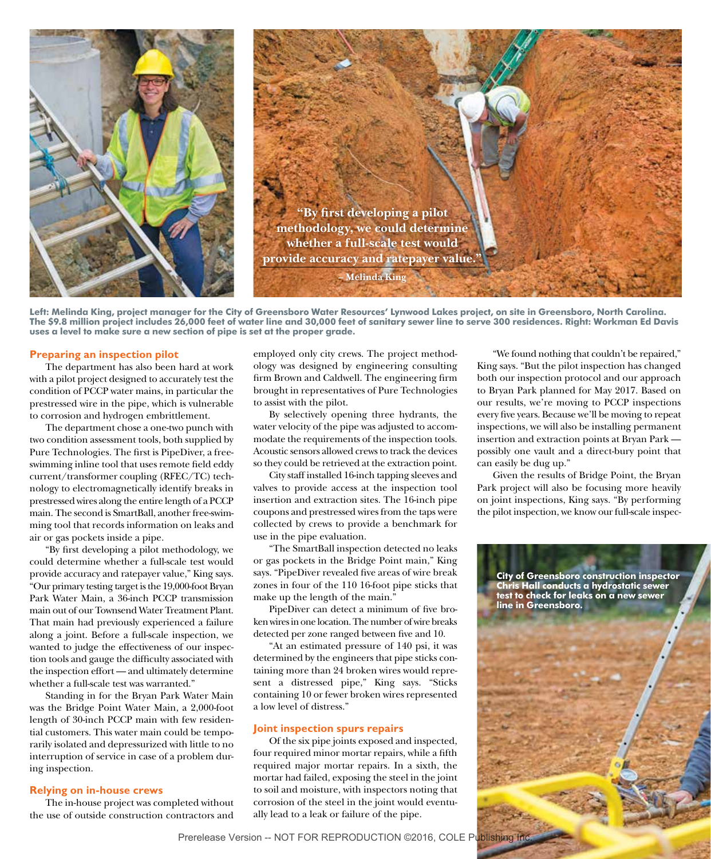

**Left: Melinda King, project manager for the City of Greensboro Water Resources' Lynwood Lakes project, on site in Greensboro, North Carolina. The \$9.8 million project includes 26,000 feet of water line and 30,000 feet of sanitary sewer line to serve 300 residences. Right: Workman Ed Davis uses a level to make sure a new section of pipe is set at the proper grade.**

### **Preparing an inspection pilot**

The department has also been hard at work with a pilot project designed to accurately test the condition of PCCP water mains, in particular the prestressed wire in the pipe, which is vulnerable to corrosion and hydrogen embrittlement.

The department chose a one-two punch with two condition assessment tools, both supplied by Pure Technologies. The first is PipeDiver, a freeswimming inline tool that uses remote field eddy current/transformer coupling (RFEC/TC) technology to electromagnetically identify breaks in prestressed wires along the entire length of a PCCP main. The second is SmartBall, another free-swimming tool that records information on leaks and air or gas pockets inside a pipe.

"By first developing a pilot methodology, we could determine whether a full-scale test would provide accuracy and ratepayer value," King says. "Our primary testing target is the 19,000-foot Bryan Park Water Main, a 36-inch PCCP transmission main out of our Townsend Water Treatment Plant. That main had previously experienced a failure along a joint. Before a full-scale inspection, we wanted to judge the effectiveness of our inspection tools and gauge the difficulty associated with the inspection effort — and ultimately determine whether a full-scale test was warranted."

Standing in for the Bryan Park Water Main was the Bridge Point Water Main, a 2,000-foot length of 30-inch PCCP main with few residential customers. This water main could be temporarily isolated and depressurized with little to no interruption of service in case of a problem during inspection.

#### **Relying on in-house crews**

The in-house project was completed without the use of outside construction contractors and

employed only city crews. The project methodology was designed by engineering consulting firm Brown and Caldwell. The engineering firm brought in representatives of Pure Technologies to assist with the pilot.

By selectively opening three hydrants, the water velocity of the pipe was adjusted to accommodate the requirements of the inspection tools. Acoustic sensors allowed crews to track the devices so they could be retrieved at the extraction point.

City staff installed 16-inch tapping sleeves and valves to provide access at the inspection tool insertion and extraction sites. The 16-inch pipe coupons and prestressed wires from the taps were collected by crews to provide a benchmark for use in the pipe evaluation.

"The SmartBall inspection detected no leaks or gas pockets in the Bridge Point main," King says. "PipeDiver revealed five areas of wire break zones in four of the 110 16-foot pipe sticks that make up the length of the main."

PipeDiver can detect a minimum of five broken wires in one location. The number of wire breaks detected per zone ranged between five and 10.

"At an estimated pressure of 140 psi, it was determined by the engineers that pipe sticks containing more than 24 broken wires would represent a distressed pipe," King says. "Sticks containing 10 or fewer broken wires represented a low level of distress."

#### **Joint inspection spurs repairs**

Of the six pipe joints exposed and inspected, four required minor mortar repairs, while a fifth required major mortar repairs. In a sixth, the mortar had failed, exposing the steel in the joint to soil and moisture, with inspectors noting that corrosion of the steel in the joint would eventually lead to a leak or failure of the pipe.

"We found nothing that couldn't be repaired," King says. "But the pilot inspection has changed both our inspection protocol and our approach to Bryan Park planned for May 2017. Based on our results, we're moving to PCCP inspections every five years. Because we'll be moving to repeat inspections, we will also be installing permanent insertion and extraction points at Bryan Park possibly one vault and a direct-bury point that can easily be dug up."

Given the results of Bridge Point, the Bryan Park project will also be focusing more heavily on joint inspections, King says. "By performing the pilot inspection, we know our full-scale inspec-